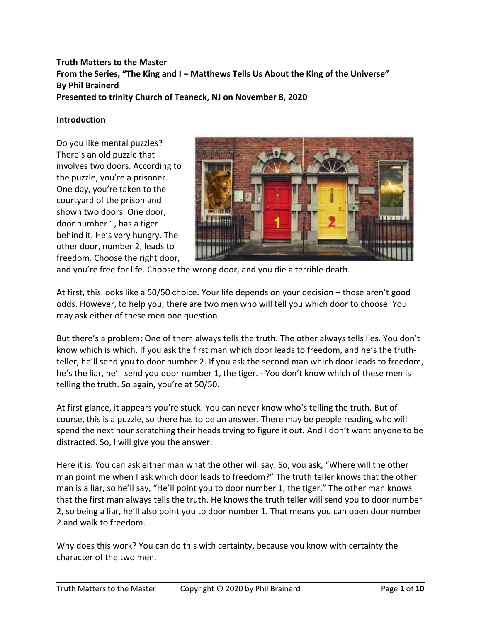# **Truth Matters to the Master From the Series, "The King and I – Matthews Tells Us About the King of the Universe" By Phil Brainerd Presented to trinity Church of Teaneck, NJ on November 8, 2020**

### **Introduction**

Do you like mental puzzles? There's an old puzzle that involves two doors. According to the puzzle, you're a prisoner. One day, you're taken to the courtyard of the prison and shown two doors. One door, door number 1, has a tiger behind it. He's very hungry. The other door, number 2, leads to freedom. Choose the right door,



and you're free for life. Choose the wrong door, and you die a terrible death.

At first, this looks like a 50/50 choice. Your life depends on your decision – those aren't good odds. However, to help you, there are two men who will tell you which door to choose. You may ask either of these men one question.

But there's a problem: One of them always tells the truth. The other always tells lies. You don't know which is which. If you ask the first man which door leads to freedom, and he's the truthteller, he'll send you to door number 2. If you ask the second man which door leads to freedom, he's the liar, he'll send you door number 1, the tiger. - You don't know which of these men is telling the truth. So again, you're at 50/50.

At first glance, it appears you're stuck. You can never know who's telling the truth. But of course, this is a puzzle, so there has to be an answer. There may be people reading who will spend the next hour scratching their heads trying to figure it out. And I don't want anyone to be distracted. So, I will give you the answer.

Here it is: You can ask either man what the other will say. So, you ask, "Where will the other man point me when I ask which door leads to freedom?" The truth teller knows that the other man is a liar, so he'll say, "He'll point you to door number 1, the tiger." The other man knows that the first man always tells the truth. He knows the truth teller will send you to door number 2, so being a liar, he'll also point you to door number 1. That means you can open door number 2 and walk to freedom.

Why does this work? You can do this with certainty, because you know with certainty the character of the two men.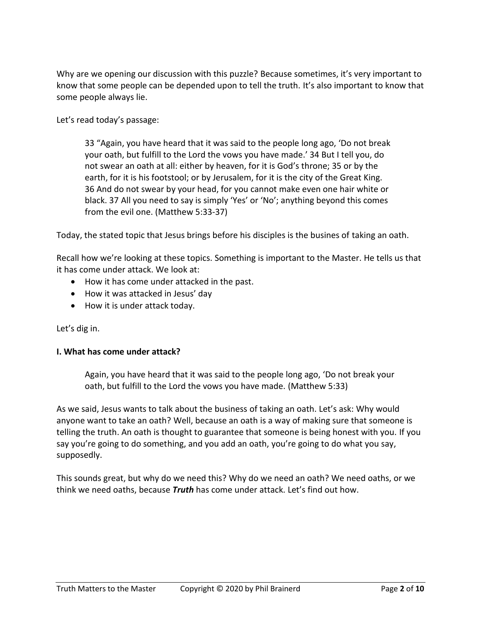Why are we opening our discussion with this puzzle? Because sometimes, it's very important to know that some people can be depended upon to tell the truth. It's also important to know that some people always lie.

Let's read today's passage:

33 "Again, you have heard that it was said to the people long ago, 'Do not break your oath, but fulfill to the Lord the vows you have made.' 34 But I tell you, do not swear an oath at all: either by heaven, for it is God's throne; 35 or by the earth, for it is his footstool; or by Jerusalem, for it is the city of the Great King. 36 And do not swear by your head, for you cannot make even one hair white or black. 37 All you need to say is simply 'Yes' or 'No'; anything beyond this comes from the evil one. (Matthew 5:33-37)

Today, the stated topic that Jesus brings before his disciples is the busines of taking an oath.

Recall how we're looking at these topics. Something is important to the Master. He tells us that it has come under attack. We look at:

- How it has come under attacked in the past.
- How it was attacked in Jesus' day
- How it is under attack today.

Let's dig in.

#### **I. What has come under attack?**

Again, you have heard that it was said to the people long ago, 'Do not break your oath, but fulfill to the Lord the vows you have made. (Matthew 5:33)

As we said, Jesus wants to talk about the business of taking an oath. Let's ask: Why would anyone want to take an oath? Well, because an oath is a way of making sure that someone is telling the truth. An oath is thought to guarantee that someone is being honest with you. If you say you're going to do something, and you add an oath, you're going to do what you say, supposedly.

This sounds great, but why do we need this? Why do we need an oath? We need oaths, or we think we need oaths, because *Truth* has come under attack. Let's find out how.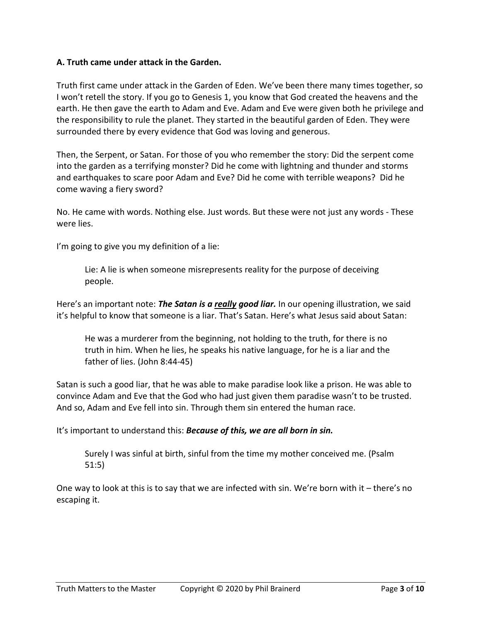### **A. Truth came under attack in the Garden.**

Truth first came under attack in the Garden of Eden. We've been there many times together, so I won't retell the story. If you go to Genesis 1, you know that God created the heavens and the earth. He then gave the earth to Adam and Eve. Adam and Eve were given both he privilege and the responsibility to rule the planet. They started in the beautiful garden of Eden. They were surrounded there by every evidence that God was loving and generous.

Then, the Serpent, or Satan. For those of you who remember the story: Did the serpent come into the garden as a terrifying monster? Did he come with lightning and thunder and storms and earthquakes to scare poor Adam and Eve? Did he come with terrible weapons? Did he come waving a fiery sword?

No. He came with words. Nothing else. Just words. But these were not just any words - These were lies.

I'm going to give you my definition of a lie:

Lie: A lie is when someone misrepresents reality for the purpose of deceiving people.

Here's an important note: *The Satan is a really good liar.* In our opening illustration, we said it's helpful to know that someone is a liar. That's Satan. Here's what Jesus said about Satan:

He was a murderer from the beginning, not holding to the truth, for there is no truth in him. When he lies, he speaks his native language, for he is a liar and the father of lies. (John 8:44-45)

Satan is such a good liar, that he was able to make paradise look like a prison. He was able to convince Adam and Eve that the God who had just given them paradise wasn't to be trusted. And so, Adam and Eve fell into sin. Through them sin entered the human race.

It's important to understand this: *Because of this, we are all born in sin.*

Surely I was sinful at birth, sinful from the time my mother conceived me. (Psalm 51:5)

One way to look at this is to say that we are infected with sin. We're born with it – there's no escaping it.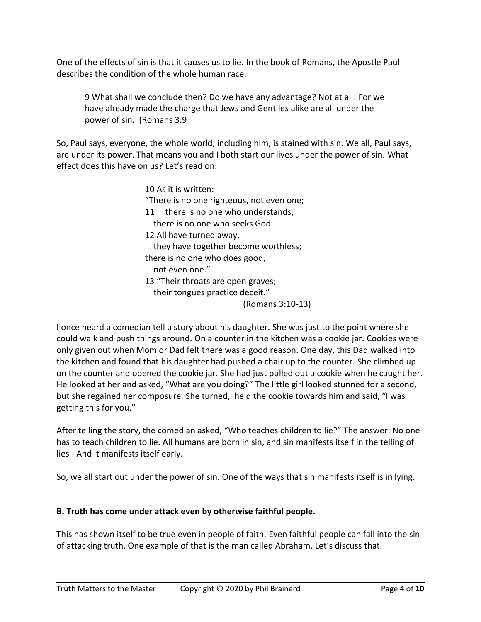One of the effects of sin is that it causes us to lie. In the book of Romans, the Apostle Paul describes the condition of the whole human race:

9 What shall we conclude then? Do we have any advantage? Not at all! For we have already made the charge that Jews and Gentiles alike are all under the power of sin. (Romans 3:9

So, Paul says, everyone, the whole world, including him, is stained with sin. We all, Paul says, are under its power. That means you and I both start our lives under the power of sin. What effect does this have on us? Let's read on.

> 10 As it is written: "There is no one righteous, not even one; 11 there is no one who understands; there is no one who seeks God. 12 All have turned away, they have together become worthless; there is no one who does good, not even one." 13 "Their throats are open graves; their tongues practice deceit." (Romans 3:10-13)

I once heard a comedian tell a story about his daughter. She was just to the point where she could walk and push things around. On a counter in the kitchen was a cookie jar. Cookies were only given out when Mom or Dad felt there was a good reason. One day, this Dad walked into the kitchen and found that his daughter had pushed a chair up to the counter. She climbed up on the counter and opened the cookie jar. She had just pulled out a cookie when he caught her. He looked at her and asked, "What are you doing?" The little girl looked stunned for a second, but she regained her composure. She turned, held the cookie towards him and said, "I was getting this for you."

After telling the story, the comedian asked, "Who teaches children to lie?" The answer: No one has to teach children to lie. All humans are born in sin, and sin manifests itself in the telling of lies - And it manifests itself early.

So, we all start out under the power of sin. One of the ways that sin manifests itself is in lying.

# **B. Truth has come under attack even by otherwise faithful people.**

This has shown itself to be true even in people of faith. Even faithful people can fall into the sin of attacking truth. One example of that is the man called Abraham. Let's discuss that.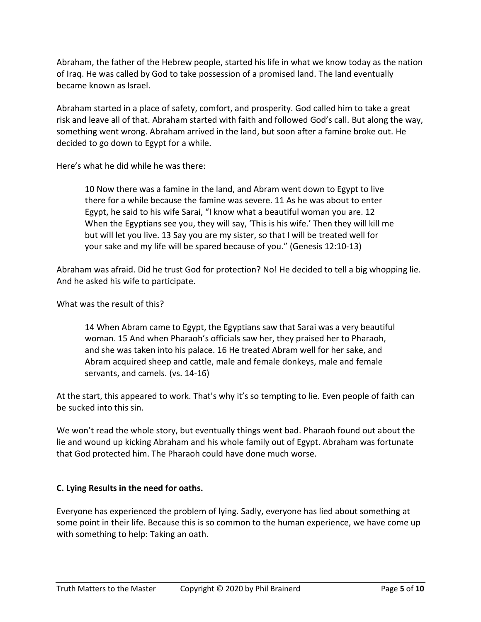Abraham, the father of the Hebrew people, started his life in what we know today as the nation of Iraq. He was called by God to take possession of a promised land. The land eventually became known as Israel.

Abraham started in a place of safety, comfort, and prosperity. God called him to take a great risk and leave all of that. Abraham started with faith and followed God's call. But along the way, something went wrong. Abraham arrived in the land, but soon after a famine broke out. He decided to go down to Egypt for a while.

Here's what he did while he was there:

10 Now there was a famine in the land, and Abram went down to Egypt to live there for a while because the famine was severe. 11 As he was about to enter Egypt, he said to his wife Sarai, "I know what a beautiful woman you are. 12 When the Egyptians see you, they will say, 'This is his wife.' Then they will kill me but will let you live. 13 Say you are my sister, so that I will be treated well for your sake and my life will be spared because of you." (Genesis 12:10-13)

Abraham was afraid. Did he trust God for protection? No! He decided to tell a big whopping lie. And he asked his wife to participate.

## What was the result of this?

14 When Abram came to Egypt, the Egyptians saw that Sarai was a very beautiful woman. 15 And when Pharaoh's officials saw her, they praised her to Pharaoh, and she was taken into his palace. 16 He treated Abram well for her sake, and Abram acquired sheep and cattle, male and female donkeys, male and female servants, and camels. (vs. 14-16)

At the start, this appeared to work. That's why it's so tempting to lie. Even people of faith can be sucked into this sin.

We won't read the whole story, but eventually things went bad. Pharaoh found out about the lie and wound up kicking Abraham and his whole family out of Egypt. Abraham was fortunate that God protected him. The Pharaoh could have done much worse.

## **C. Lying Results in the need for oaths.**

Everyone has experienced the problem of lying. Sadly, everyone has lied about something at some point in their life. Because this is so common to the human experience, we have come up with something to help: Taking an oath.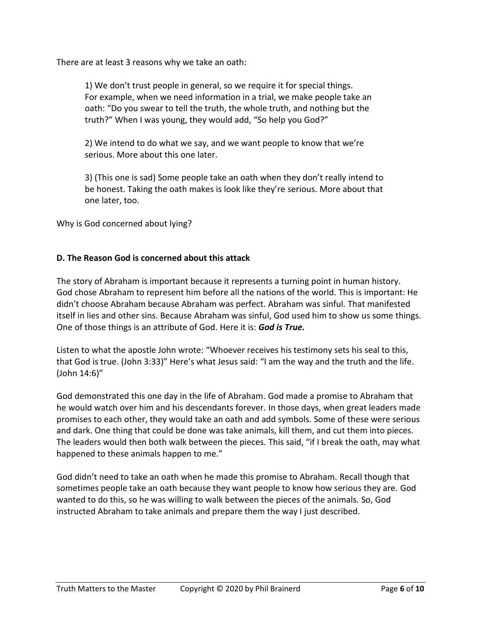There are at least 3 reasons why we take an oath:

1) We don't trust people in general, so we require it for special things. For example, when we need information in a trial, we make people take an oath: "Do you swear to tell the truth, the whole truth, and nothing but the truth?" When I was young, they would add, "So help you God?"

2) We intend to do what we say, and we want people to know that we're serious. More about this one later.

3) (This one is sad) Some people take an oath when they don't really intend to be honest. Taking the oath makes is look like they're serious. More about that one later, too.

Why is God concerned about lying?

### **D. The Reason God is concerned about this attack**

The story of Abraham is important because it represents a turning point in human history. God chose Abraham to represent him before all the nations of the world. This is important: He didn't choose Abraham because Abraham was perfect. Abraham was sinful. That manifested itself in lies and other sins. Because Abraham was sinful, God used him to show us some things. One of those things is an attribute of God. Here it is: *God is True.*

Listen to what the apostle John wrote: "Whoever receives his testimony sets his seal to this, that God is true. (John 3:33)" Here's what Jesus said: "I am the way and the truth and the life. (John 14:6)"

God demonstrated this one day in the life of Abraham. God made a promise to Abraham that he would watch over him and his descendants forever. In those days, when great leaders made promises to each other, they would take an oath and add symbols. Some of these were serious and dark. One thing that could be done was take animals, kill them, and cut them into pieces. The leaders would then both walk between the pieces. This said, "if I break the oath, may what happened to these animals happen to me."

God didn't need to take an oath when he made this promise to Abraham. Recall though that sometimes people take an oath because they want people to know how serious they are. God wanted to do this, so he was willing to walk between the pieces of the animals. So, God instructed Abraham to take animals and prepare them the way I just described.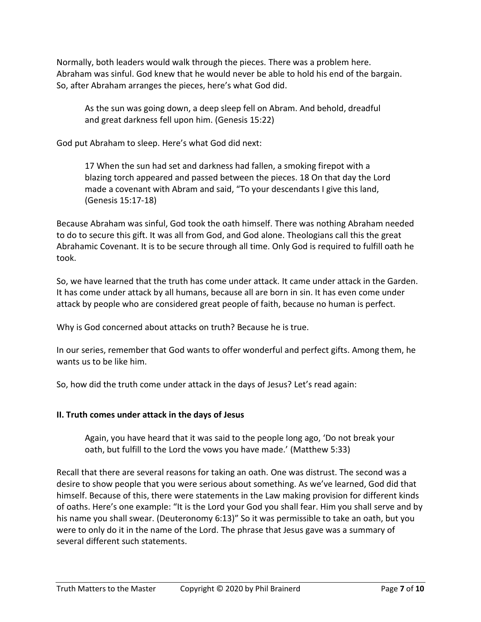Normally, both leaders would walk through the pieces. There was a problem here. Abraham was sinful. God knew that he would never be able to hold his end of the bargain. So, after Abraham arranges the pieces, here's what God did.

As the sun was going down, a deep sleep fell on Abram. And behold, dreadful and great darkness fell upon him. (Genesis 15:22)

God put Abraham to sleep. Here's what God did next:

17 When the sun had set and darkness had fallen, a smoking firepot with a blazing torch appeared and passed between the pieces. 18 On that day the Lord made a covenant with Abram and said, "To your descendants I give this land, (Genesis 15:17-18)

Because Abraham was sinful, God took the oath himself. There was nothing Abraham needed to do to secure this gift. It was all from God, and God alone. Theologians call this the great Abrahamic Covenant. It is to be secure through all time. Only God is required to fulfill oath he took.

So, we have learned that the truth has come under attack. It came under attack in the Garden. It has come under attack by all humans, because all are born in sin. It has even come under attack by people who are considered great people of faith, because no human is perfect.

Why is God concerned about attacks on truth? Because he is true.

In our series, remember that God wants to offer wonderful and perfect gifts. Among them, he wants us to be like him.

So, how did the truth come under attack in the days of Jesus? Let's read again:

## **II. Truth comes under attack in the days of Jesus**

Again, you have heard that it was said to the people long ago, 'Do not break your oath, but fulfill to the Lord the vows you have made.' (Matthew 5:33)

Recall that there are several reasons for taking an oath. One was distrust. The second was a desire to show people that you were serious about something. As we've learned, God did that himself. Because of this, there were statements in the Law making provision for different kinds of oaths. Here's one example: "It is the Lord your God you shall fear. Him you shall serve and by his name you shall swear. (Deuteronomy 6:13)" So it was permissible to take an oath, but you were to only do it in the name of the Lord. The phrase that Jesus gave was a summary of several different such statements.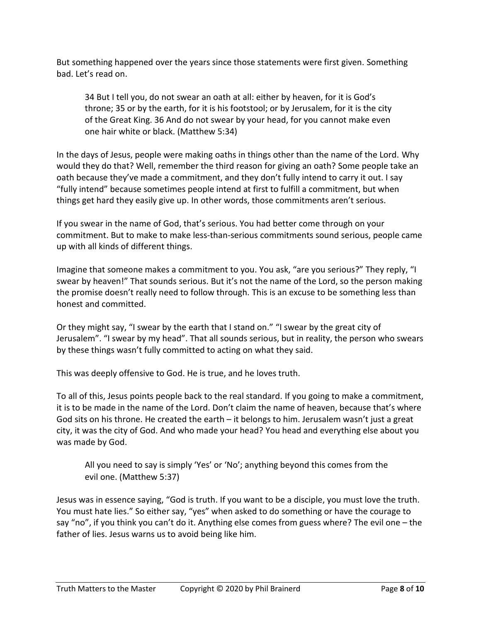But something happened over the years since those statements were first given. Something bad. Let's read on.

34 But I tell you, do not swear an oath at all: either by heaven, for it is God's throne; 35 or by the earth, for it is his footstool; or by Jerusalem, for it is the city of the Great King. 36 And do not swear by your head, for you cannot make even one hair white or black. (Matthew 5:34)

In the days of Jesus, people were making oaths in things other than the name of the Lord. Why would they do that? Well, remember the third reason for giving an oath? Some people take an oath because they've made a commitment, and they don't fully intend to carry it out. I say "fully intend" because sometimes people intend at first to fulfill a commitment, but when things get hard they easily give up. In other words, those commitments aren't serious.

If you swear in the name of God, that's serious. You had better come through on your commitment. But to make to make less-than-serious commitments sound serious, people came up with all kinds of different things.

Imagine that someone makes a commitment to you. You ask, "are you serious?" They reply, "I swear by heaven!" That sounds serious. But it's not the name of the Lord, so the person making the promise doesn't really need to follow through. This is an excuse to be something less than honest and committed.

Or they might say, "I swear by the earth that I stand on." "I swear by the great city of Jerusalem". "I swear by my head". That all sounds serious, but in reality, the person who swears by these things wasn't fully committed to acting on what they said.

This was deeply offensive to God. He is true, and he loves truth.

To all of this, Jesus points people back to the real standard. If you going to make a commitment, it is to be made in the name of the Lord. Don't claim the name of heaven, because that's where God sits on his throne. He created the earth – it belongs to him. Jerusalem wasn't just a great city, it was the city of God. And who made your head? You head and everything else about you was made by God.

All you need to say is simply 'Yes' or 'No'; anything beyond this comes from the evil one. (Matthew 5:37)

Jesus was in essence saying, "God is truth. If you want to be a disciple, you must love the truth. You must hate lies." So either say, "yes" when asked to do something or have the courage to say "no", if you think you can't do it. Anything else comes from guess where? The evil one – the father of lies. Jesus warns us to avoid being like him.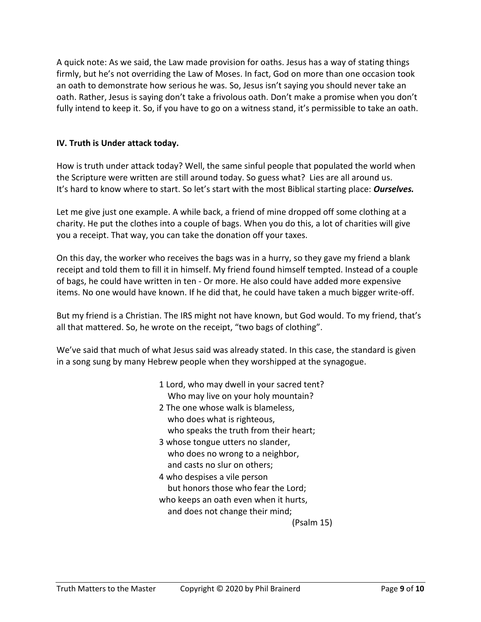A quick note: As we said, the Law made provision for oaths. Jesus has a way of stating things firmly, but he's not overriding the Law of Moses. In fact, God on more than one occasion took an oath to demonstrate how serious he was. So, Jesus isn't saying you should never take an oath. Rather, Jesus is saying don't take a frivolous oath. Don't make a promise when you don't fully intend to keep it. So, if you have to go on a witness stand, it's permissible to take an oath.

## **IV. Truth is Under attack today.**

How is truth under attack today? Well, the same sinful people that populated the world when the Scripture were written are still around today. So guess what? Lies are all around us. It's hard to know where to start. So let's start with the most Biblical starting place: *Ourselves.*

Let me give just one example. A while back, a friend of mine dropped off some clothing at a charity. He put the clothes into a couple of bags. When you do this, a lot of charities will give you a receipt. That way, you can take the donation off your taxes.

On this day, the worker who receives the bags was in a hurry, so they gave my friend a blank receipt and told them to fill it in himself. My friend found himself tempted. Instead of a couple of bags, he could have written in ten - Or more. He also could have added more expensive items. No one would have known. If he did that, he could have taken a much bigger write-off.

But my friend is a Christian. The IRS might not have known, but God would. To my friend, that's all that mattered. So, he wrote on the receipt, "two bags of clothing".

We've said that much of what Jesus said was already stated. In this case, the standard is given in a song sung by many Hebrew people when they worshipped at the synagogue.

- 1 Lord, who may dwell in your sacred tent? Who may live on your holy mountain?
- 2 The one whose walk is blameless, who does what is righteous, who speaks the truth from their heart;
- 3 whose tongue utters no slander, who does no wrong to a neighbor, and casts no slur on others;
- 4 who despises a vile person but honors those who fear the Lord; who keeps an oath even when it hurts, and does not change their mind;

(Psalm 15)